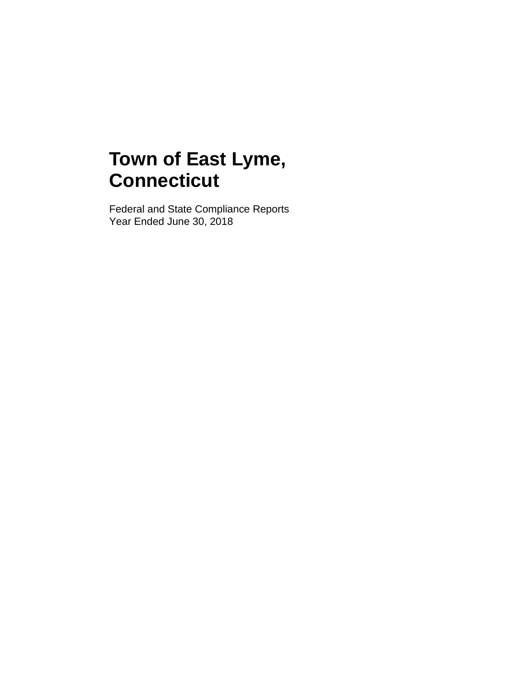Federal and State Compliance Reports Year Ended June 30, 2018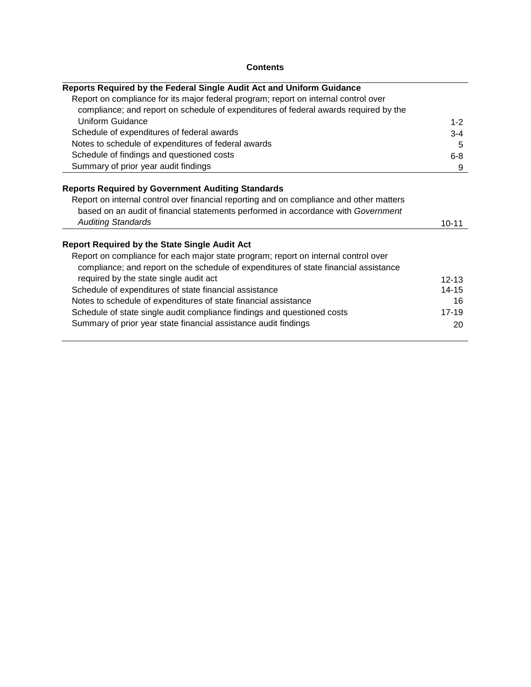# **Contents**

| Reports Required by the Federal Single Audit Act and Uniform Guidance                   |           |
|-----------------------------------------------------------------------------------------|-----------|
| Report on compliance for its major federal program; report on internal control over     |           |
| compliance; and report on schedule of expenditures of federal awards required by the    |           |
| Uniform Guidance                                                                        |           |
|                                                                                         | $1 - 2$   |
| Schedule of expenditures of federal awards                                              | $3 - 4$   |
| Notes to schedule of expenditures of federal awards                                     | 5         |
| Schedule of findings and questioned costs                                               | $6 - 8$   |
| Summary of prior year audit findings                                                    | 9         |
|                                                                                         |           |
| <b>Reports Required by Government Auditing Standards</b>                                |           |
| Report on internal control over financial reporting and on compliance and other matters |           |
| based on an audit of financial statements performed in accordance with Government       |           |
| <b>Auditing Standards</b>                                                               | $10 - 11$ |
|                                                                                         |           |
| <b>Report Required by the State Single Audit Act</b>                                    |           |
| Report on compliance for each major state program; report on internal control over      |           |
| compliance; and report on the schedule of expenditures of state financial assistance    |           |
| required by the state single audit act                                                  | $12 - 13$ |
| Schedule of expenditures of state financial assistance                                  | $14 - 15$ |
| Notes to schedule of expenditures of state financial assistance                         | 16        |
| Schedule of state single audit compliance findings and questioned costs                 | $17 - 19$ |
|                                                                                         |           |
| Summary of prior year state financial assistance audit findings                         | 20        |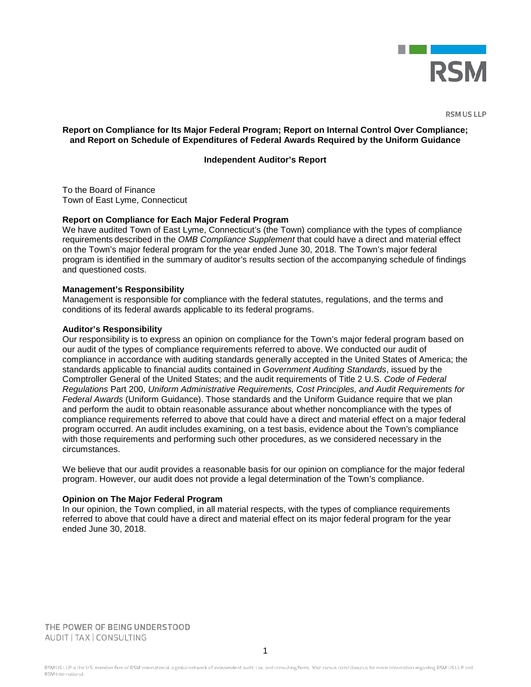

**RSM US LLP** 

# **Report on Compliance for Its Major Federal Program; Report on Internal Control Over Compliance; and Report on Schedule of Expenditures of Federal Awards Required by the Uniform Guidance**

#### **Independent Auditor's Report**

To the Board of Finance Town of East Lyme, Connecticut

#### **Report on Compliance for Each Major Federal Program**

We have audited Town of East Lyme, Connecticut's (the Town) compliance with the types of compliance requirements described in the *OMB Compliance Supplement* that could have a direct and material effect on the Town's major federal program for the year ended June 30, 2018. The Town's major federal program is identified in the summary of auditor's results section of the accompanying schedule of findings and questioned costs.

#### **Management's Responsibility**

Management is responsible for compliance with the federal statutes, regulations, and the terms and conditions of its federal awards applicable to its federal programs.

#### **Auditor's Responsibility**

Our responsibility is to express an opinion on compliance for the Town's major federal program based on our audit of the types of compliance requirements referred to above. We conducted our audit of compliance in accordance with auditing standards generally accepted in the United States of America; the standards applicable to financial audits contained in *Government Auditing Standards*, issued by the Comptroller General of the United States; and the audit requirements of Title 2 U.S. *Code of Federal Regulations* Part 200, *Uniform Administrative Requirements, Cost Principles, and Audit Requirements for Federal Awards* (Uniform Guidance). Those standards and the Uniform Guidance require that we plan and perform the audit to obtain reasonable assurance about whether noncompliance with the types of compliance requirements referred to above that could have a direct and material effect on a major federal program occurred. An audit includes examining, on a test basis, evidence about the Town's compliance with those requirements and performing such other procedures, as we considered necessary in the circumstances.

We believe that our audit provides a reasonable basis for our opinion on compliance for the major federal program. However, our audit does not provide a legal determination of the Town's compliance.

## **Opinion on The Major Federal Program**

In our opinion, the Town complied, in all material respects, with the types of compliance requirements referred to above that could have a direct and material effect on its major federal program for the year ended June 30, 2018.

THE POWER OF BEING UNDERSTOOD AUDIT | TAX | CONSULTING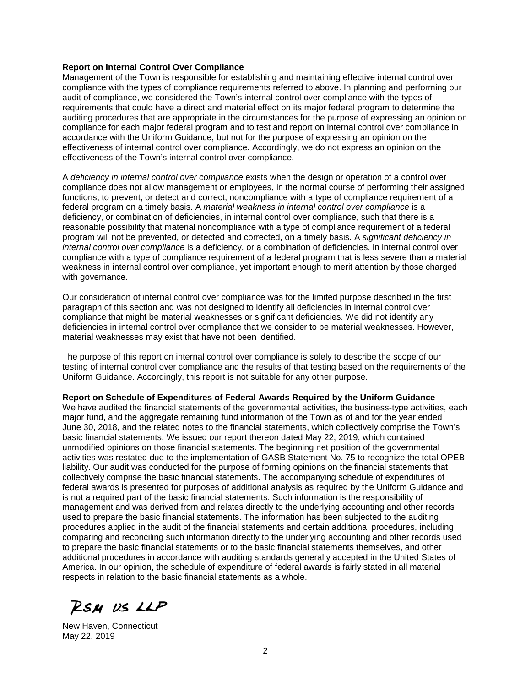#### **Report on Internal Control Over Compliance**

Management of the Town is responsible for establishing and maintaining effective internal control over compliance with the types of compliance requirements referred to above. In planning and performing our audit of compliance, we considered the Town's internal control over compliance with the types of requirements that could have a direct and material effect on its major federal program to determine the auditing procedures that are appropriate in the circumstances for the purpose of expressing an opinion on compliance for each major federal program and to test and report on internal control over compliance in accordance with the Uniform Guidance, but not for the purpose of expressing an opinion on the effectiveness of internal control over compliance. Accordingly, we do not express an opinion on the effectiveness of the Town's internal control over compliance.

A *deficiency in internal control over compliance* exists when the design or operation of a control over compliance does not allow management or employees, in the normal course of performing their assigned functions, to prevent, or detect and correct, noncompliance with a type of compliance requirement of a federal program on a timely basis. A *material weakness in internal control over compliance* is a deficiency, or combination of deficiencies, in internal control over compliance, such that there is a reasonable possibility that material noncompliance with a type of compliance requirement of a federal program will not be prevented, or detected and corrected, on a timely basis. A *significant deficiency in internal control over compliance* is a deficiency, or a combination of deficiencies, in internal control over compliance with a type of compliance requirement of a federal program that is less severe than a material weakness in internal control over compliance, yet important enough to merit attention by those charged with governance.

Our consideration of internal control over compliance was for the limited purpose described in the first paragraph of this section and was not designed to identify all deficiencies in internal control over compliance that might be material weaknesses or significant deficiencies. We did not identify any deficiencies in internal control over compliance that we consider to be material weaknesses. However, material weaknesses may exist that have not been identified.

The purpose of this report on internal control over compliance is solely to describe the scope of our testing of internal control over compliance and the results of that testing based on the requirements of the Uniform Guidance. Accordingly, this report is not suitable for any other purpose.

#### **Report on Schedule of Expenditures of Federal Awards Required by the Uniform Guidance**

We have audited the financial statements of the governmental activities, the business-type activities, each major fund, and the aggregate remaining fund information of the Town as of and for the year ended June 30, 2018, and the related notes to the financial statements, which collectively comprise the Town's basic financial statements. We issued our report thereon dated May 22, 2019, which contained unmodified opinions on those financial statements. The beginning net position of the governmental activities was restated due to the implementation of GASB Statement No. 75 to recognize the total OPEB liability. Our audit was conducted for the purpose of forming opinions on the financial statements that collectively comprise the basic financial statements. The accompanying schedule of expenditures of federal awards is presented for purposes of additional analysis as required by the Uniform Guidance and is not a required part of the basic financial statements. Such information is the responsibility of management and was derived from and relates directly to the underlying accounting and other records used to prepare the basic financial statements. The information has been subjected to the auditing procedures applied in the audit of the financial statements and certain additional procedures, including comparing and reconciling such information directly to the underlying accounting and other records used to prepare the basic financial statements or to the basic financial statements themselves, and other additional procedures in accordance with auditing standards generally accepted in the United States of America. In our opinion, the schedule of expenditure of federal awards is fairly stated in all material respects in relation to the basic financial statements as a whole.

**RSM US LLP** 

New Haven, Connecticut May 22, 2019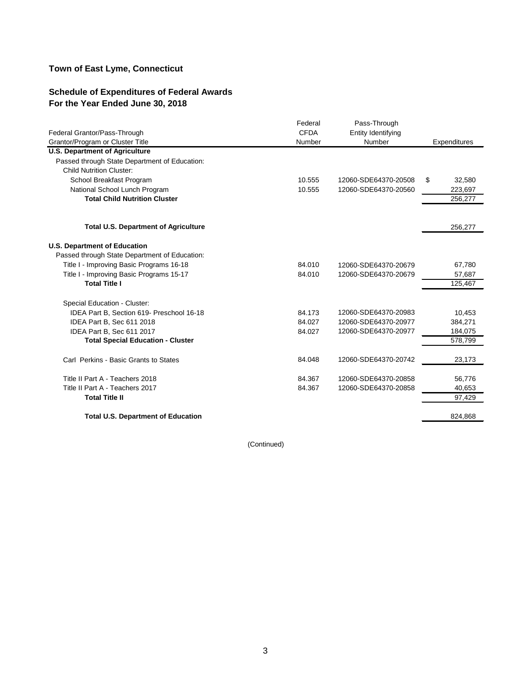# **Schedule of Expenditures of Federal Awards For the Year Ended June 30, 2018**

|                                               | Pass-Through<br>Federal |                           |              |
|-----------------------------------------------|-------------------------|---------------------------|--------------|
| Federal Grantor/Pass-Through                  | <b>CFDA</b>             | <b>Entity Identifying</b> |              |
| Grantor/Program or Cluster Title              | Number                  | Number                    | Expenditures |
| <b>U.S. Department of Agriculture</b>         |                         |                           |              |
| Passed through State Department of Education: |                         |                           |              |
| <b>Child Nutrition Cluster:</b>               |                         |                           |              |
| School Breakfast Program                      | 10.555                  | 12060-SDE64370-20508      | \$<br>32,580 |
| National School Lunch Program                 | 10.555                  | 12060-SDE64370-20560      | 223,697      |
| <b>Total Child Nutrition Cluster</b>          |                         |                           | 256,277      |
|                                               |                         |                           |              |
| <b>Total U.S. Department of Agriculture</b>   |                         |                           | 256,277      |
|                                               |                         |                           |              |
| <b>U.S. Department of Education</b>           |                         |                           |              |
| Passed through State Department of Education: |                         |                           |              |
| Title I - Improving Basic Programs 16-18      | 84.010                  | 12060-SDE64370-20679      | 67,780       |
| Title I - Improving Basic Programs 15-17      | 84.010                  | 12060-SDE64370-20679      | 57,687       |
| <b>Total Title I</b>                          |                         |                           | 125,467      |
|                                               |                         |                           |              |
| Special Education - Cluster:                  |                         |                           |              |
| IDEA Part B, Section 619- Preschool 16-18     | 84.173                  | 12060-SDE64370-20983      | 10,453       |
| IDEA Part B, Sec 611 2018                     | 84.027                  | 12060-SDE64370-20977      | 384,271      |
| IDEA Part B, Sec 611 2017                     | 84.027                  | 12060-SDE64370-20977      | 184,075      |
| <b>Total Special Education - Cluster</b>      |                         |                           | 578,799      |
| Carl Perkins - Basic Grants to States         | 84.048                  | 12060-SDE64370-20742      | 23,173       |
| Title II Part A - Teachers 2018               | 84.367                  | 12060-SDE64370-20858      | 56,776       |
| Title II Part A - Teachers 2017               | 84.367                  | 12060-SDE64370-20858      | 40,653       |
| <b>Total Title II</b>                         |                         |                           | 97,429       |
|                                               |                         |                           |              |
| <b>Total U.S. Department of Education</b>     |                         |                           | 824,868      |

(Continued)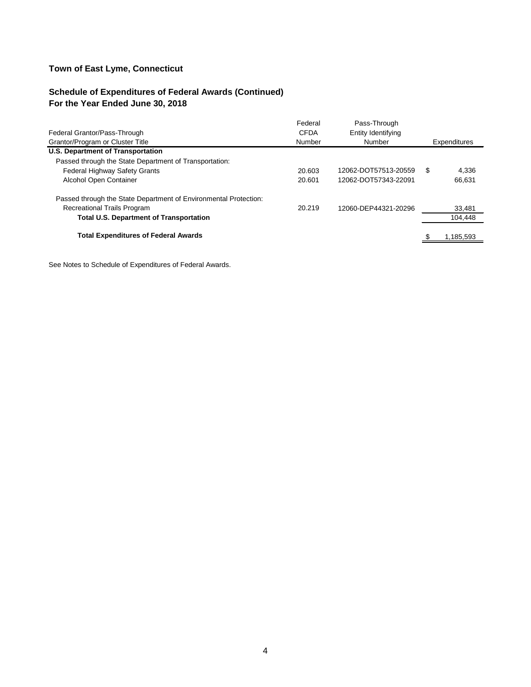# **Schedule of Expenditures of Federal Awards (Continued) For the Year Ended June 30, 2018**

|                                                                  | Federal     | Pass-Through         |     |              |
|------------------------------------------------------------------|-------------|----------------------|-----|--------------|
| Federal Grantor/Pass-Through                                     | <b>CFDA</b> | Entity Identifying   |     |              |
| Grantor/Program or Cluster Title                                 | Number      | Number               |     | Expenditures |
| U.S. Department of Transportation                                |             |                      |     |              |
| Passed through the State Department of Transportation:           |             |                      |     |              |
| <b>Federal Highway Safety Grants</b>                             | 20.603      | 12062-DOT57513-20559 | \$. | 4.336        |
| Alcohol Open Container                                           | 20.601      | 12062-DOT57343-22091 |     | 66.631       |
| Passed through the State Department of Environmental Protection: |             |                      |     |              |
| <b>Recreational Trails Program</b>                               | 20.219      | 12060-DEP44321-20296 |     | 33.481       |
| <b>Total U.S. Department of Transportation</b>                   |             |                      |     | 104,448      |
| <b>Total Expenditures of Federal Awards</b>                      |             |                      |     | 1,185,593    |

See Notes to Schedule of Expenditures of Federal Awards.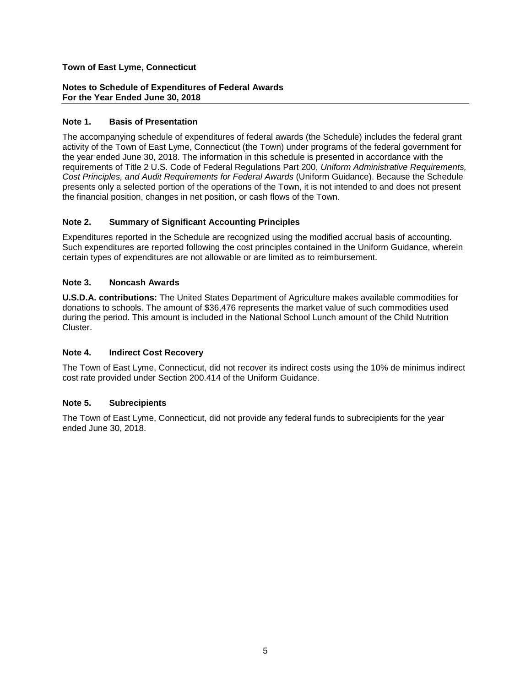## **Notes to Schedule of Expenditures of Federal Awards For the Year Ended June 30, 2018**

# **Note 1. Basis of Presentation**

The accompanying schedule of expenditures of federal awards (the Schedule) includes the federal grant activity of the Town of East Lyme, Connecticut (the Town) under programs of the federal government for the year ended June 30, 2018. The information in this schedule is presented in accordance with the requirements of Title 2 U.S. Code of Federal Regulations Part 200, *Uniform Administrative Requirements, Cost Principles, and Audit Requirements for Federal Awards* (Uniform Guidance). Because the Schedule presents only a selected portion of the operations of the Town, it is not intended to and does not present the financial position, changes in net position, or cash flows of the Town.

# **Note 2. Summary of Significant Accounting Principles**

Expenditures reported in the Schedule are recognized using the modified accrual basis of accounting. Such expenditures are reported following the cost principles contained in the Uniform Guidance, wherein certain types of expenditures are not allowable or are limited as to reimbursement.

# **Note 3. Noncash Awards**

**U.S.D.A. contributions:** The United States Department of Agriculture makes available commodities for donations to schools. The amount of \$36,476 represents the market value of such commodities used during the period. This amount is included in the National School Lunch amount of the Child Nutrition Cluster.

## **Note 4. Indirect Cost Recovery**

The Town of East Lyme, Connecticut, did not recover its indirect costs using the 10% de minimus indirect cost rate provided under Section 200.414 of the Uniform Guidance.

## **Note 5. Subrecipients**

The Town of East Lyme, Connecticut, did not provide any federal funds to subrecipients for the year ended June 30, 2018.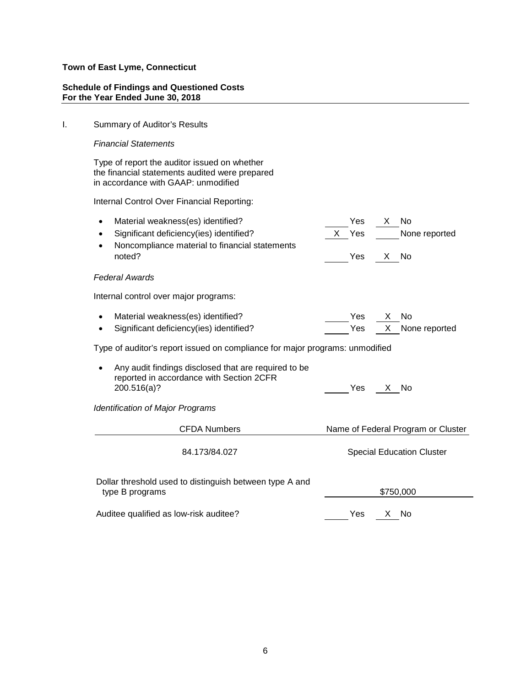# **Schedule of Findings and Questioned Costs For the Year Ended June 30, 2018**

# I. Summary of Auditor's Results

# *Financial Statements*

Type of report the auditor issued on whether the financial statements audited were prepared in accordance with GAAP: unmodified

Internal Control Over Financial Reporting:

| Material weakness(es) identified?                                                                               |    | Yes | X. | <b>No</b>                          |
|-----------------------------------------------------------------------------------------------------------------|----|-----|----|------------------------------------|
| Significant deficiency(ies) identified?                                                                         | X. | Yes |    | None reported                      |
| Noncompliance material to financial statements<br>noted?                                                        |    | Yes |    | X No                               |
| <b>Federal Awards</b>                                                                                           |    |     |    |                                    |
| Internal control over major programs:                                                                           |    |     |    |                                    |
| Material weakness(es) identified?                                                                               |    | Yes |    | X No                               |
| Significant deficiency(ies) identified?                                                                         |    | Yes | X. | None reported                      |
| Type of auditor's report issued on compliance for major programs: unmodified                                    |    |     |    |                                    |
| Any audit findings disclosed that are required to be<br>reported in accordance with Section 2CFR<br>200.516(a)? |    | Yes |    | X No                               |
| Identification of Major Programs                                                                                |    |     |    |                                    |
| <b>CFDA Numbers</b>                                                                                             |    |     |    | Name of Federal Program or Cluster |
| 84.173/84.027                                                                                                   |    |     |    | <b>Special Education Cluster</b>   |
| Dollar threshold used to distinguish between type A and<br>type B programs                                      |    |     |    | \$750,000                          |
| Auditee qualified as low-risk auditee?                                                                          |    | Yes | X. | <b>No</b>                          |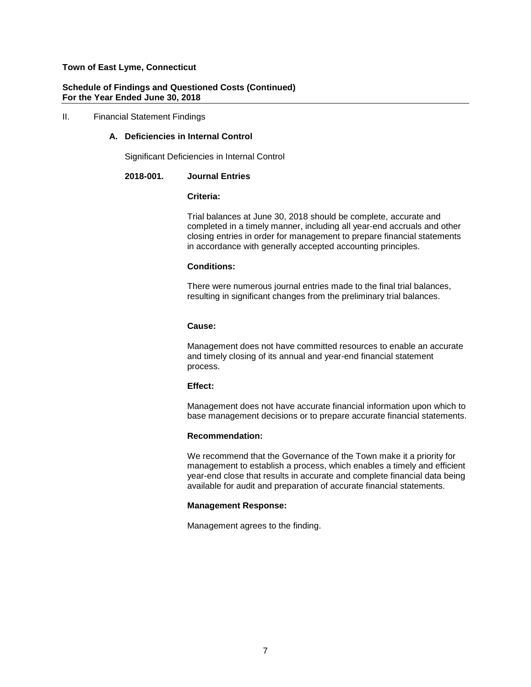#### **Schedule of Findings and Questioned Costs (Continued) For the Year Ended June 30, 2018**

#### II. Financial Statement Findings

## **A. Deficiencies in Internal Control**

Significant Deficiencies in Internal Control

#### **2018-001. Journal Entries**

# **Criteria:**

Trial balances at June 30, 2018 should be complete, accurate and completed in a timely manner, including all year-end accruals and other closing entries in order for management to prepare financial statements in accordance with generally accepted accounting principles.

#### **Conditions:**

There were numerous journal entries made to the final trial balances, resulting in significant changes from the preliminary trial balances.

# **Cause:**

Management does not have committed resources to enable an accurate and timely closing of its annual and year-end financial statement process.

#### **Effect:**

Management does not have accurate financial information upon which to base management decisions or to prepare accurate financial statements.

## **Recommendation:**

We recommend that the Governance of the Town make it a priority for management to establish a process, which enables a timely and efficient year-end close that results in accurate and complete financial data being available for audit and preparation of accurate financial statements.

## **Management Response:**

Management agrees to the finding.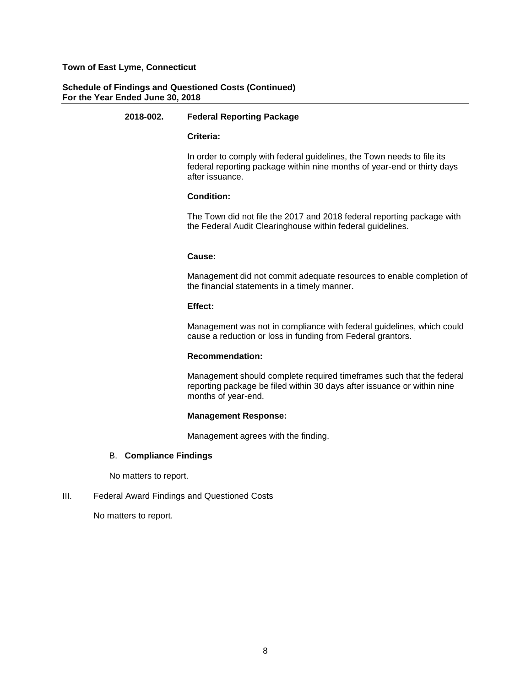#### **Schedule of Findings and Questioned Costs (Continued) For the Year Ended June 30, 2018**

#### **2018-002. Federal Reporting Package**

#### **Criteria:**

In order to comply with federal guidelines, the Town needs to file its federal reporting package within nine months of year-end or thirty days after issuance.

## **Condition:**

The Town did not file the 2017 and 2018 federal reporting package with the Federal Audit Clearinghouse within federal guidelines.

#### **Cause:**

Management did not commit adequate resources to enable completion of the financial statements in a timely manner.

## **Effect:**

Management was not in compliance with federal guidelines, which could cause a reduction or loss in funding from Federal grantors.

#### **Recommendation:**

Management should complete required timeframes such that the federal reporting package be filed within 30 days after issuance or within nine months of year-end.

#### **Management Response:**

Management agrees with the finding.

#### B. **Compliance Findings**

No matters to report.

#### III. Federal Award Findings and Questioned Costs

No matters to report.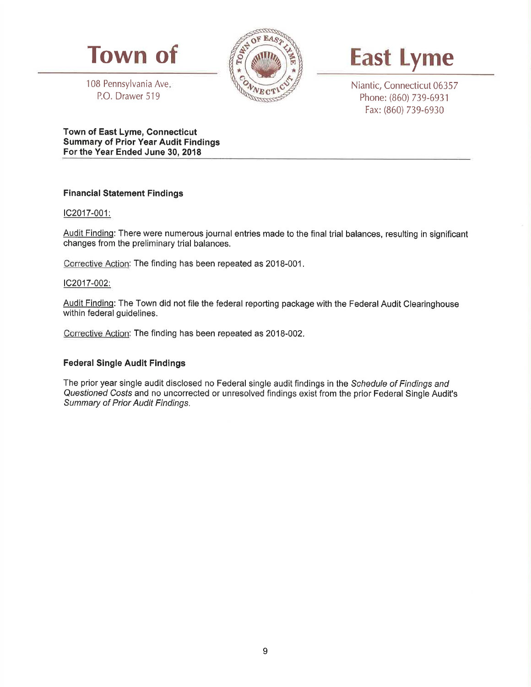

108 Pennsylvania Ave P.O. Drawer 519



Niantic, Connecticut 06357 Phone: (860) 739-6931 Fax: (860) 739-6930

Town of East Lyme, Connecticut Summary of Prior Year Audit Findings For the Year Ended June 30, 2018

# Financial Statement Findings

1c2017-001:

Audit Finding: There were numerous journal entries made to the final trial balances, resulting in significant changes from the preliminary trial balances,

Corrective Action: The finding has been repeated as 2018-001.

# 1Q2017-002:

Audit Finding: The Town did not file the federal reporting package with the Federal Audit Clearinghouse within federal guidelines.

Corrective Action: The finding has been repeated as 2018-002.

# Federal Single Audit Findings

The prior year single audit disclosed no Federal single audit findings in the Schedule of Findings and Quesfioned Cosfs and no uncorrected or unresolved findings exist from the prior Federal Single Audit's Summary of Prior Audit Findings.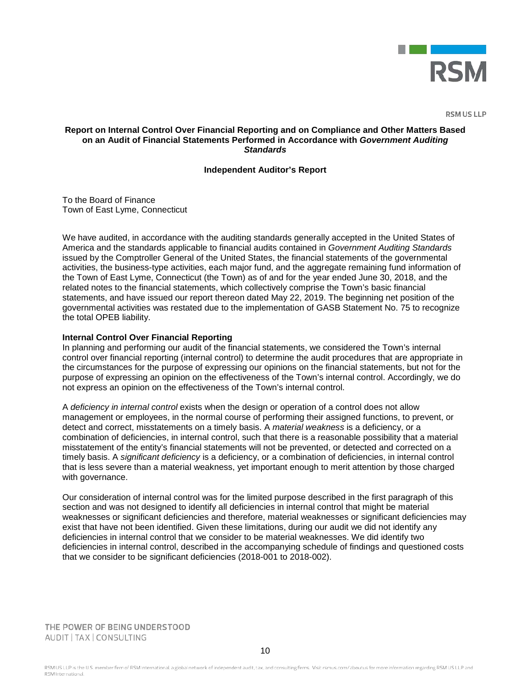

# **Report on Internal Control Over Financial Reporting and on Compliance and Other Matters Based on an Audit of Financial Statements Performed in Accordance with** *Government Auditing Standards*

#### **Independent Auditor's Report**

To the Board of Finance Town of East Lyme, Connecticut

We have audited, in accordance with the auditing standards generally accepted in the United States of America and the standards applicable to financial audits contained in *Government Auditing Standards* issued by the Comptroller General of the United States, the financial statements of the governmental activities, the business-type activities, each major fund, and the aggregate remaining fund information of the Town of East Lyme, Connecticut (the Town) as of and for the year ended June 30, 2018, and the related notes to the financial statements, which collectively comprise the Town's basic financial statements, and have issued our report thereon dated May 22, 2019. The beginning net position of the governmental activities was restated due to the implementation of GASB Statement No. 75 to recognize the total OPEB liability.

#### **Internal Control Over Financial Reporting**

In planning and performing our audit of the financial statements, we considered the Town's internal control over financial reporting (internal control) to determine the audit procedures that are appropriate in the circumstances for the purpose of expressing our opinions on the financial statements, but not for the purpose of expressing an opinion on the effectiveness of the Town's internal control. Accordingly, we do not express an opinion on the effectiveness of the Town's internal control.

A *deficiency in internal control* exists when the design or operation of a control does not allow management or employees, in the normal course of performing their assigned functions, to prevent, or detect and correct, misstatements on a timely basis. A *material weakness* is a deficiency, or a combination of deficiencies, in internal control, such that there is a reasonable possibility that a material misstatement of the entity's financial statements will not be prevented, or detected and corrected on a timely basis. A *significant deficiency* is a deficiency, or a combination of deficiencies, in internal control that is less severe than a material weakness, yet important enough to merit attention by those charged with governance.

Our consideration of internal control was for the limited purpose described in the first paragraph of this section and was not designed to identify all deficiencies in internal control that might be material weaknesses or significant deficiencies and therefore, material weaknesses or significant deficiencies may exist that have not been identified. Given these limitations, during our audit we did not identify any deficiencies in internal control that we consider to be material weaknesses. We did identify two deficiencies in internal control, described in the accompanying schedule of findings and questioned costs that we consider to be significant deficiencies (2018-001 to 2018-002).

THE POWER OF BEING UNDERSTOOD AUDIT | TAX | CONSULTING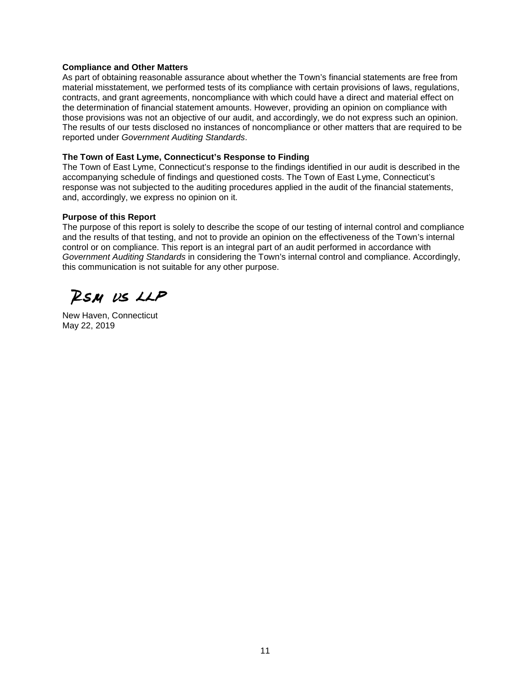# **Compliance and Other Matters**

As part of obtaining reasonable assurance about whether the Town's financial statements are free from material misstatement, we performed tests of its compliance with certain provisions of laws, regulations, contracts, and grant agreements, noncompliance with which could have a direct and material effect on the determination of financial statement amounts. However, providing an opinion on compliance with those provisions was not an objective of our audit, and accordingly, we do not express such an opinion. The results of our tests disclosed no instances of noncompliance or other matters that are required to be reported under *Government Auditing Standards*.

# **The Town of East Lyme, Connecticut's Response to Finding**

The Town of East Lyme, Connecticut's response to the findings identified in our audit is described in the accompanying schedule of findings and questioned costs. The Town of East Lyme, Connecticut's response was not subjected to the auditing procedures applied in the audit of the financial statements, and, accordingly, we express no opinion on it.

## **Purpose of this Report**

The purpose of this report is solely to describe the scope of our testing of internal control and compliance and the results of that testing, and not to provide an opinion on the effectiveness of the Town's internal control or on compliance. This report is an integral part of an audit performed in accordance with *Government Auditing Standards* in considering the Town's internal control and compliance. Accordingly, this communication is not suitable for any other purpose.

**RSM US LLP** 

New Haven, Connecticut May 22, 2019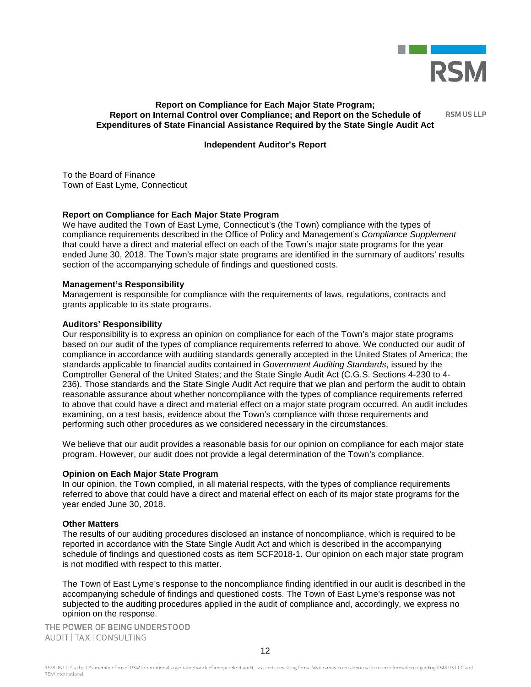

#### **Report on Compliance for Each Major State Program; Report on Internal Control over Compliance; and Report on the Schedule of Expenditures of State Financial Assistance Required by the State Single Audit Act**

**RSMIISIIP** 

#### **Independent Auditor's Report**

To the Board of Finance Town of East Lyme, Connecticut

#### **Report on Compliance for Each Major State Program**

We have audited the Town of East Lyme, Connecticut's (the Town) compliance with the types of compliance requirements described in the Office of Policy and Management's *Compliance Supplement*  that could have a direct and material effect on each of the Town's major state programs for the year ended June 30, 2018. The Town's major state programs are identified in the summary of auditors' results section of the accompanying schedule of findings and questioned costs.

#### **Management's Responsibility**

Management is responsible for compliance with the requirements of laws, regulations, contracts and grants applicable to its state programs.

# **Auditors' Responsibility**

Our responsibility is to express an opinion on compliance for each of the Town's major state programs based on our audit of the types of compliance requirements referred to above. We conducted our audit of compliance in accordance with auditing standards generally accepted in the United States of America; the standards applicable to financial audits contained in *Government Auditing Standards*, issued by the Comptroller General of the United States; and the State Single Audit Act (C.G.S. Sections 4-230 to 4- 236). Those standards and the State Single Audit Act require that we plan and perform the audit to obtain reasonable assurance about whether noncompliance with the types of compliance requirements referred to above that could have a direct and material effect on a major state program occurred. An audit includes examining, on a test basis, evidence about the Town's compliance with those requirements and performing such other procedures as we considered necessary in the circumstances.

We believe that our audit provides a reasonable basis for our opinion on compliance for each major state program. However, our audit does not provide a legal determination of the Town's compliance.

#### **Opinion on Each Major State Program**

In our opinion, the Town complied, in all material respects, with the types of compliance requirements referred to above that could have a direct and material effect on each of its major state programs for the year ended June 30, 2018.

#### **Other Matters**

The results of our auditing procedures disclosed an instance of noncompliance, which is required to be reported in accordance with the State Single Audit Act and which is described in the accompanying schedule of findings and questioned costs as item SCF2018-1. Our opinion on each major state program is not modified with respect to this matter.

The Town of East Lyme's response to the noncompliance finding identified in our audit is described in the accompanying schedule of findings and questioned costs. The Town of East Lyme's response was not subjected to the auditing procedures applied in the audit of compliance and, accordingly, we express no opinion on the response.

THE POWER OF BEING UNDERSTOOD AUDIT | TAX | CONSULTING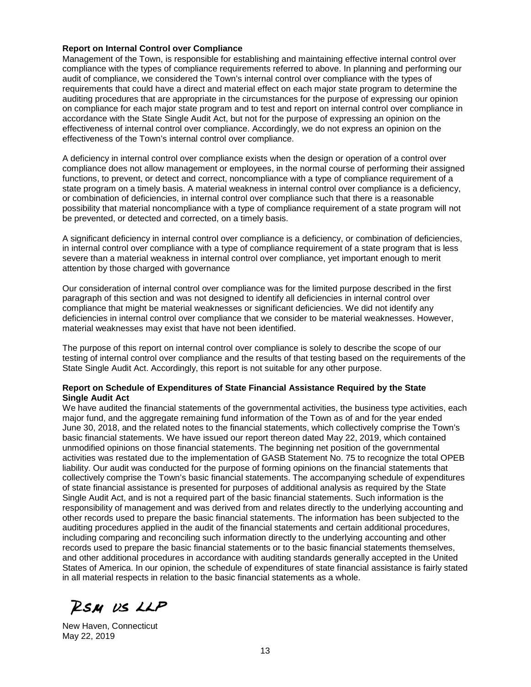# **Report on Internal Control over Compliance**

Management of the Town, is responsible for establishing and maintaining effective internal control over compliance with the types of compliance requirements referred to above. In planning and performing our audit of compliance, we considered the Town's internal control over compliance with the types of requirements that could have a direct and material effect on each major state program to determine the auditing procedures that are appropriate in the circumstances for the purpose of expressing our opinion on compliance for each major state program and to test and report on internal control over compliance in accordance with the State Single Audit Act, but not for the purpose of expressing an opinion on the effectiveness of internal control over compliance. Accordingly, we do not express an opinion on the effectiveness of the Town's internal control over compliance.

A deficiency in internal control over compliance exists when the design or operation of a control over compliance does not allow management or employees, in the normal course of performing their assigned functions, to prevent, or detect and correct, noncompliance with a type of compliance requirement of a state program on a timely basis. A material weakness in internal control over compliance is a deficiency, or combination of deficiencies, in internal control over compliance such that there is a reasonable possibility that material noncompliance with a type of compliance requirement of a state program will not be prevented, or detected and corrected, on a timely basis.

A significant deficiency in internal control over compliance is a deficiency, or combination of deficiencies, in internal control over compliance with a type of compliance requirement of a state program that is less severe than a material weakness in internal control over compliance, yet important enough to merit attention by those charged with governance

Our consideration of internal control over compliance was for the limited purpose described in the first paragraph of this section and was not designed to identify all deficiencies in internal control over compliance that might be material weaknesses or significant deficiencies. We did not identify any deficiencies in internal control over compliance that we consider to be material weaknesses. However, material weaknesses may exist that have not been identified.

The purpose of this report on internal control over compliance is solely to describe the scope of our testing of internal control over compliance and the results of that testing based on the requirements of the State Single Audit Act. Accordingly, this report is not suitable for any other purpose.

#### **Report on Schedule of Expenditures of State Financial Assistance Required by the State Single Audit Act**

We have audited the financial statements of the governmental activities, the business type activities, each major fund, and the aggregate remaining fund information of the Town as of and for the year ended June 30, 2018, and the related notes to the financial statements, which collectively comprise the Town's basic financial statements. We have issued our report thereon dated May 22, 2019, which contained unmodified opinions on those financial statements. The beginning net position of the governmental activities was restated due to the implementation of GASB Statement No. 75 to recognize the total OPEB liability. Our audit was conducted for the purpose of forming opinions on the financial statements that collectively comprise the Town's basic financial statements. The accompanying schedule of expenditures of state financial assistance is presented for purposes of additional analysis as required by the State Single Audit Act, and is not a required part of the basic financial statements. Such information is the responsibility of management and was derived from and relates directly to the underlying accounting and other records used to prepare the basic financial statements. The information has been subjected to the auditing procedures applied in the audit of the financial statements and certain additional procedures, including comparing and reconciling such information directly to the underlying accounting and other records used to prepare the basic financial statements or to the basic financial statements themselves, and other additional procedures in accordance with auditing standards generally accepted in the United States of America. In our opinion, the schedule of expenditures of state financial assistance is fairly stated in all material respects in relation to the basic financial statements as a whole.

**RSM US LLP** 

New Haven, Connecticut May 22, 2019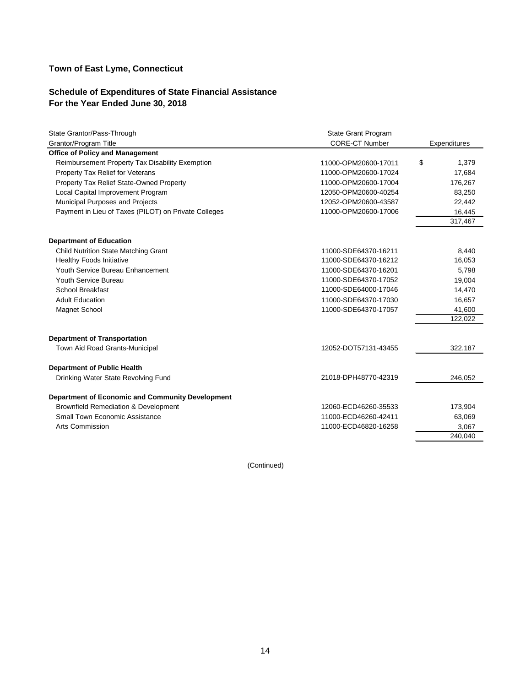# **Schedule of Expenditures of State Financial Assistance For the Year Ended June 30, 2018**

| State Grantor/Pass-Through<br>Grantor/Program Title     | State Grant Program<br><b>CORE-CT Number</b> | Expenditures |
|---------------------------------------------------------|----------------------------------------------|--------------|
| <b>Office of Policy and Management</b>                  |                                              |              |
| Reimbursement Property Tax Disability Exemption         | 11000-OPM20600-17011                         | \$<br>1,379  |
| Property Tax Relief for Veterans                        | 11000-OPM20600-17024                         | 17,684       |
| Property Tax Relief State-Owned Property                | 11000-OPM20600-17004                         | 176,267      |
| Local Capital Improvement Program                       | 12050-OPM20600-40254                         | 83,250       |
| Municipal Purposes and Projects                         | 12052-OPM20600-43587                         | 22,442       |
| Payment in Lieu of Taxes (PILOT) on Private Colleges    | 11000-OPM20600-17006                         | 16,445       |
|                                                         |                                              | 317,467      |
| <b>Department of Education</b>                          |                                              |              |
| Child Nutrition State Matching Grant                    | 11000-SDE64370-16211                         | 8,440        |
| <b>Healthy Foods Initiative</b>                         | 11000-SDE64370-16212                         | 16,053       |
| Youth Service Bureau Enhancement                        | 11000-SDE64370-16201                         | 5,798        |
| Youth Service Bureau                                    | 11000-SDE64370-17052                         | 19,004       |
| <b>School Breakfast</b>                                 | 11000-SDE64000-17046                         | 14,470       |
| <b>Adult Education</b>                                  | 11000-SDE64370-17030                         | 16,657       |
| Magnet School                                           | 11000-SDE64370-17057                         | 41,600       |
|                                                         |                                              | 122,022      |
| <b>Department of Transportation</b>                     |                                              |              |
| Town Aid Road Grants-Municipal                          | 12052-DOT57131-43455                         | 322,187      |
| <b>Department of Public Health</b>                      |                                              |              |
| Drinking Water State Revolving Fund                     | 21018-DPH48770-42319                         | 246,052      |
| <b>Department of Economic and Community Development</b> |                                              |              |
| <b>Brownfield Remediation &amp; Development</b>         | 12060-ECD46260-35533                         | 173,904      |
| Small Town Economic Assistance                          | 11000-ECD46260-42411                         | 63,069       |
| <b>Arts Commission</b>                                  | 11000-ECD46820-16258                         | 3.067        |
|                                                         |                                              | 240.040      |

(Continued)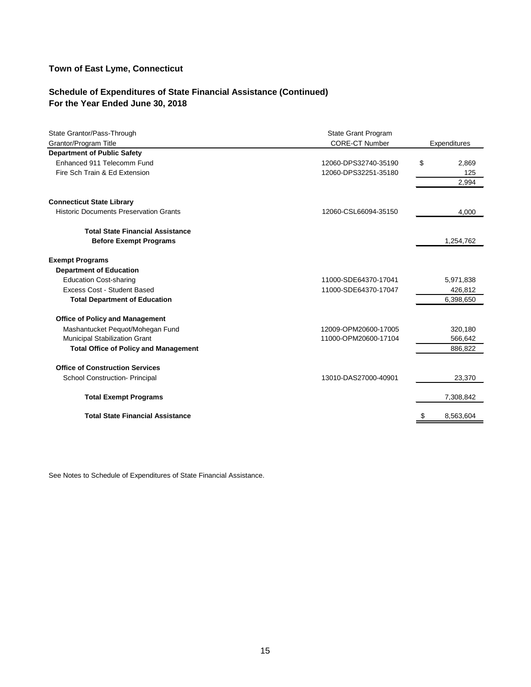# **Schedule of Expenditures of State Financial Assistance (Continued) For the Year Ended June 30, 2018**

| State Grantor/Pass-Through<br>Grantor/Program Title | State Grant Program<br>CORE-CT Number |    | Expenditures |
|-----------------------------------------------------|---------------------------------------|----|--------------|
| <b>Department of Public Safety</b>                  |                                       |    |              |
| Enhanced 911 Telecomm Fund                          | 12060-DPS32740-35190                  | \$ | 2,869        |
| Fire Sch Train & Ed Extension                       | 12060-DPS32251-35180                  |    | 125          |
|                                                     |                                       |    | 2,994        |
| <b>Connecticut State Library</b>                    |                                       |    |              |
| <b>Historic Documents Preservation Grants</b>       | 12060-CSL66094-35150                  |    | 4,000        |
| <b>Total State Financial Assistance</b>             |                                       |    |              |
| <b>Before Exempt Programs</b>                       |                                       |    | 1,254,762    |
| <b>Exempt Programs</b>                              |                                       |    |              |
| <b>Department of Education</b>                      |                                       |    |              |
| <b>Education Cost-sharing</b>                       | 11000-SDE64370-17041                  |    | 5,971,838    |
| Excess Cost - Student Based                         | 11000-SDE64370-17047                  |    | 426,812      |
| <b>Total Department of Education</b>                |                                       |    | 6,398,650    |
| <b>Office of Policy and Management</b>              |                                       |    |              |
| Mashantucket Pequot/Mohegan Fund                    | 12009-OPM20600-17005                  |    | 320,180      |
| <b>Municipal Stabilization Grant</b>                | 11000-OPM20600-17104                  |    | 566,642      |
| <b>Total Office of Policy and Management</b>        |                                       |    | 886,822      |
| <b>Office of Construction Services</b>              |                                       |    |              |
| School Construction- Principal                      | 13010-DAS27000-40901                  |    | 23,370       |
| <b>Total Exempt Programs</b>                        |                                       |    | 7,308,842    |
| <b>Total State Financial Assistance</b>             |                                       |    | 8,563,604    |

See Notes to Schedule of Expenditures of State Financial Assistance.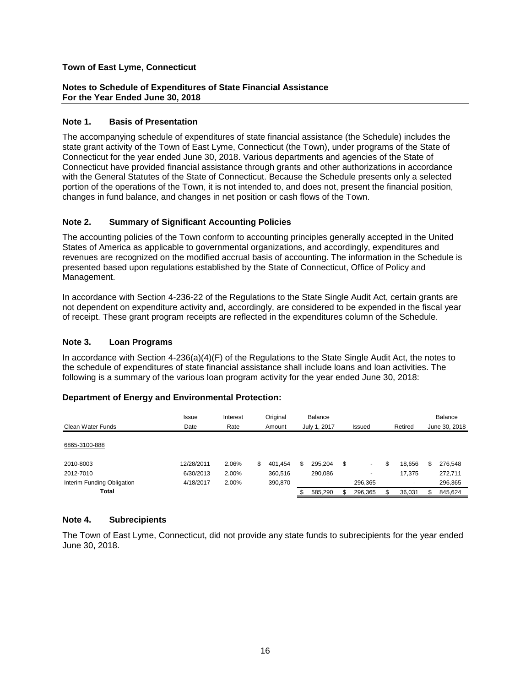## **Notes to Schedule of Expenditures of State Financial Assistance For the Year Ended June 30, 2018**

## **Note 1. Basis of Presentation**

The accompanying schedule of expenditures of state financial assistance (the Schedule) includes the state grant activity of the Town of East Lyme, Connecticut (the Town), under programs of the State of Connecticut for the year ended June 30, 2018. Various departments and agencies of the State of Connecticut have provided financial assistance through grants and other authorizations in accordance with the General Statutes of the State of Connecticut. Because the Schedule presents only a selected portion of the operations of the Town, it is not intended to, and does not, present the financial position, changes in fund balance, and changes in net position or cash flows of the Town.

# **Note 2. Summary of Significant Accounting Policies**

The accounting policies of the Town conform to accounting principles generally accepted in the United States of America as applicable to governmental organizations, and accordingly, expenditures and revenues are recognized on the modified accrual basis of accounting. The information in the Schedule is presented based upon regulations established by the State of Connecticut, Office of Policy and Management.

In accordance with Section 4-236-22 of the Regulations to the State Single Audit Act, certain grants are not dependent on expenditure activity and, accordingly, are considered to be expended in the fiscal year of receipt. These grant program receipts are reflected in the expenditures column of the Schedule.

# **Note 3. Loan Programs**

In accordance with Section 4-236(a)(4)(F) of the Regulations to the State Single Audit Act, the notes to the schedule of expenditures of state financial assistance shall include loans and loan activities. The following is a summary of the various loan program activity for the year ended June 30, 2018:

## **Department of Energy and Environmental Protection:**

| Clean Water Funds          | <b>Issue</b><br>Date | Interest<br>Rate | Original<br>Amount | Balance<br>July 1, 2017 |    | Issued                   | Retired                  |    | Balance<br>June 30, 2018 |
|----------------------------|----------------------|------------------|--------------------|-------------------------|----|--------------------------|--------------------------|----|--------------------------|
| 6865-3100-888              |                      |                  |                    |                         |    |                          |                          |    |                          |
| 2010-8003                  | 12/28/2011           | 2.06%            | \$<br>401,454      | \$<br>295.204           | S. | ٠                        | \$<br>18,656             | J. | 276,548                  |
| 2012-7010                  | 6/30/2013            | 2.00%            | 360.516            | 290,086                 |    | $\overline{\phantom{0}}$ | 17,375                   |    | 272,711                  |
| Interim Funding Obligation | 4/18/2017            | 2.00%            | 390,870            | ۰                       |    | 296.365                  | $\overline{\phantom{a}}$ |    | 296,365                  |
| <b>Total</b>               |                      |                  |                    | 585,290                 |    | 296.365                  | 36,031                   |    | 845,624                  |

## **Note 4. Subrecipients**

The Town of East Lyme, Connecticut, did not provide any state funds to subrecipients for the year ended June 30, 2018.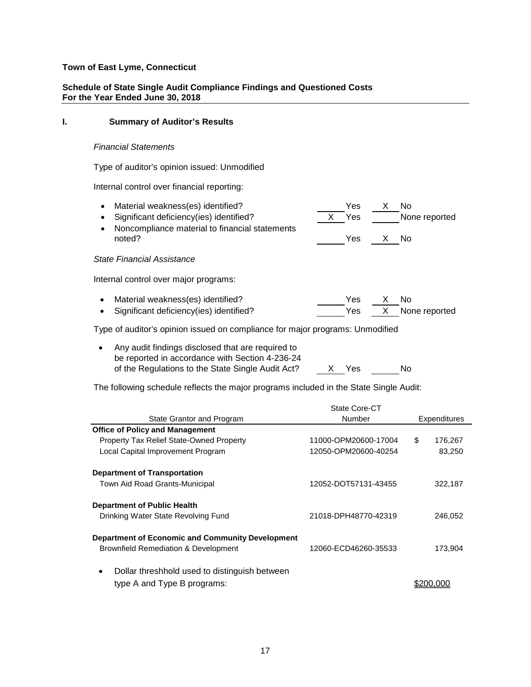## **Schedule of State Single Audit Compliance Findings and Questioned Costs For the Year Ended June 30, 2018**

# **I. Summary of Auditor's Results**

#### *Financial Statements*

Type of auditor's opinion issued: Unmodified

Internal control over financial reporting:

| Material weakness(es) identified?                        | Yes | N٥            |
|----------------------------------------------------------|-----|---------------|
| • Significant deficiency(ies) identified?                | Yes | None reported |
| Noncompliance material to financial statements<br>noted? | Yes | N٥            |

# *State Financial Assistance*

Internal control over major programs:

| • Material weakness(es) identified?       | Yes X No |                 |
|-------------------------------------------|----------|-----------------|
| • Significant deficiency(ies) identified? | Yes      | X None reported |

Type of auditor's opinion issued on compliance for major programs: Unmodified

| $\bullet$ | Any audit findings disclosed that are required to |   |     |     |
|-----------|---------------------------------------------------|---|-----|-----|
|           | be reported in accordance with Section 4-236-24   |   |     |     |
|           | of the Regulations to the State Single Audit Act? | X | Yes | No. |

The following schedule reflects the major programs included in the State Single Audit:

|                                                            | State Core-CT        |               |  |  |  |
|------------------------------------------------------------|----------------------|---------------|--|--|--|
| State Grantor and Program                                  | <b>Number</b>        |               |  |  |  |
| <b>Office of Policy and Management</b>                     |                      |               |  |  |  |
| <b>Property Tax Relief State-Owned Property</b>            | 11000-OPM20600-17004 | \$<br>176,267 |  |  |  |
| Local Capital Improvement Program                          | 12050-OPM20600-40254 | 83,250        |  |  |  |
| Department of Transportation                               |                      |               |  |  |  |
| Town Aid Road Grants-Municipal                             | 12052-DOT57131-43455 | 322,187       |  |  |  |
| <b>Department of Public Health</b>                         |                      |               |  |  |  |
| Drinking Water State Revolving Fund                        | 21018-DPH48770-42319 | 246.052       |  |  |  |
| <b>Department of Economic and Community Development</b>    |                      |               |  |  |  |
| <b>Brownfield Remediation &amp; Development</b>            | 12060-ECD46260-35533 | 173.904       |  |  |  |
| Dollar threshhold used to distinguish between<br>$\bullet$ |                      |               |  |  |  |
| type A and Type B programs:                                |                      |               |  |  |  |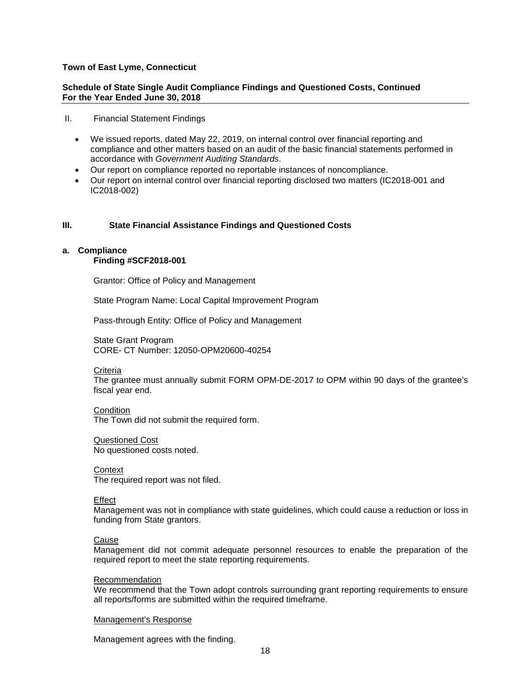#### **Schedule of State Single Audit Compliance Findings and Questioned Costs, Continued For the Year Ended June 30, 2018**

#### II. Financial Statement Findings

- We issued reports, dated May 22, 2019, on internal control over financial reporting and compliance and other matters based on an audit of the basic financial statements performed in accordance with *Government Auditing Standards*.
- Our report on compliance reported no reportable instances of noncompliance.
- Our report on internal control over financial reporting disclosed two matters (IC2018-001 and IC2018-002)

# **III. State Financial Assistance Findings and Questioned Costs**

#### **a. Compliance Finding #SCF2018-001**

Grantor: Office of Policy and Management

State Program Name: Local Capital Improvement Program

Pass-through Entity: Office of Policy and Management

State Grant Program CORE- CT Number: 12050-OPM20600-40254

#### **Criteria**

The grantee must annually submit FORM OPM-DE-2017 to OPM within 90 days of the grantee's fiscal year end.

#### Condition

The Town did not submit the required form.

Questioned Cost No questioned costs noted.

Context The required report was not filed.

#### **Effect**

Management was not in compliance with state guidelines, which could cause a reduction or loss in funding from State grantors.

#### Cause

Management did not commit adequate personnel resources to enable the preparation of the required report to meet the state reporting requirements.

#### Recommendation

We recommend that the Town adopt controls surrounding grant reporting requirements to ensure all reports/forms are submitted within the required timeframe.

#### Management's Response

Management agrees with the finding.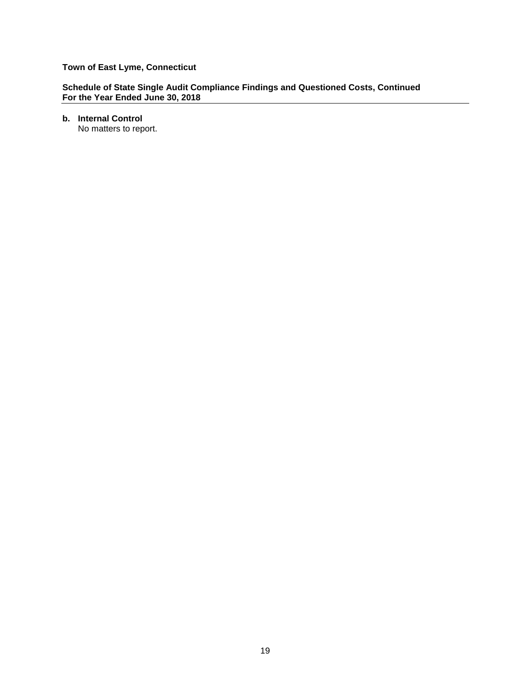## **Schedule of State Single Audit Compliance Findings and Questioned Costs, Continued For the Year Ended June 30, 2018**

**b. Internal Control**

No matters to report.